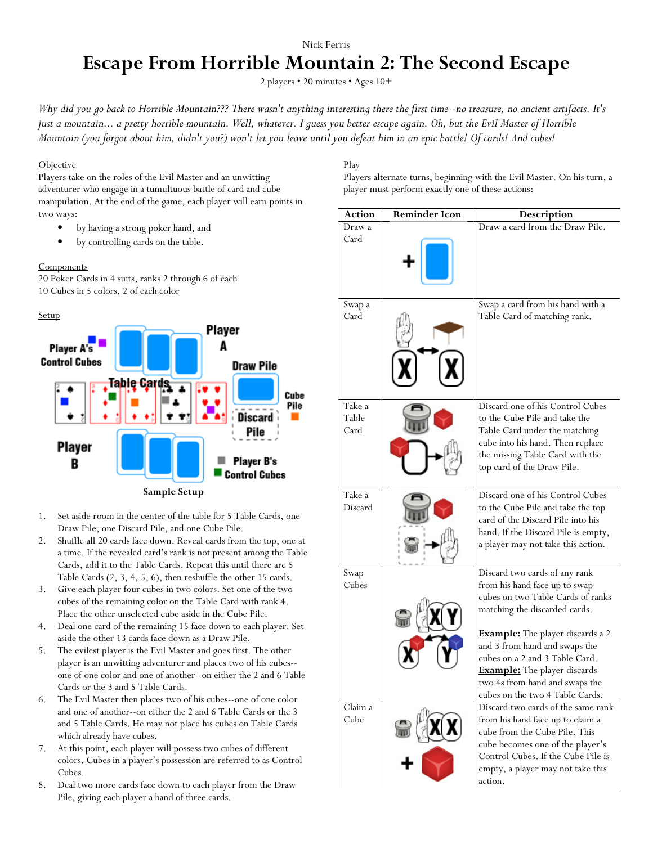# Nick Ferris **Escape From Horrible Mountain 2: The Second Escape**

2 players • 20 minutes • Ages 10+

*Why did you go back to Horrible Mountain??? There wasn't anything interesting there the first time--no treasure, no ancient artifacts. It's just a mountain... a pretty horrible mountain. Well, whatever. I guess you better escape again. Oh, but the Evil Master of Horrible Mountain (you forgot about him, didn't you?) won't let you leave until you defeat him in an epic battle! Of cards! And cubes!* 

## **Objective**

Players take on the roles of the Evil Master and an unwitting adventurer who engage in a tumultuous battle of card and cube manipulation. At the end of the game, each player will earn points in two ways:

- by having a strong poker hand, and
- by controlling cards on the table.

## **Components**

20 Poker Cards in 4 suits, ranks 2 through 6 of each 10 Cubes in 5 colors, 2 of each color

### Setup



- 1. Set aside room in the center of the table for 5 Table Cards, one Draw Pile, one Discard Pile, and one Cube Pile.
- 2. Shuffle all 20 cards face down. Reveal cards from the top, one at a time. If the revealed card's rank is not present among the Table Cards, add it to the Table Cards. Repeat this until there are 5 Table Cards (2, 3, 4, 5, 6), then reshuffle the other 15 cards.
- 3. Give each player four cubes in two colors. Set one of the two cubes of the remaining color on the Table Card with rank 4. Place the other unselected cube aside in the Cube Pile.
- 4. Deal one card of the remaining 15 face down to each player. Set aside the other 13 cards face down as a Draw Pile.
- 5. The evilest player is the Evil Master and goes first. The other player is an unwitting adventurer and places two of his cubes- one of one color and one of another--on either the 2 and 6 Table Cards or the 3 and 5 Table Cards.
- 6. The Evil Master then places two of his cubes--one of one color and one of another--on either the 2 and 6 Table Cards or the 3 and 5 Table Cards. He may not place his cubes on Table Cards which already have cubes.
- 7. At this point, each player will possess two cubes of different colors. Cubes in a player's possession are referred to as Control Cubes.
- 8. Deal two more cards face down to each player from the Draw Pile, giving each player a hand of three cards.

# Play

Players alternate turns, beginning with the Evil Master. On his turn, a player must perform exactly one of these actions:

| <b>Action</b>           | <b>Reminder Icon</b> | Description                                                                                                                                                                                                                       |
|-------------------------|----------------------|-----------------------------------------------------------------------------------------------------------------------------------------------------------------------------------------------------------------------------------|
| Draw a                  |                      | Draw a card from the Draw Pile.                                                                                                                                                                                                   |
| Card                    |                      |                                                                                                                                                                                                                                   |
| Swap a<br>Card          |                      | Swap a card from his hand with a<br>Table Card of matching rank.                                                                                                                                                                  |
| Take a<br>Table<br>Card |                      | Discard one of his Control Cubes<br>to the Cube Pile and take the<br>Table Card under the matching<br>cube into his hand. Then replace<br>the missing Table Card with the<br>top card of the Draw Pile.                           |
| Take a<br>Discard       |                      | Discard one of his Control Cubes<br>to the Cube Pile and take the top<br>card of the Discard Pile into his<br>hand. If the Discard Pile is empty,<br>a player may not take this action.                                           |
| Swap<br>Cubes           |                      | Discard two cards of any rank<br>from his hand face up to swap<br>cubes on two Table Cards of ranks<br>matching the discarded cards.                                                                                              |
|                         |                      | <b>Example:</b> The player discards a 2<br>and 3 from hand and swaps the<br>cubes on a 2 and 3 Table Card.<br><b>Example:</b> The player discards<br>two 4s from hand and swaps the<br>cubes on the two 4 Table Cards.            |
| Claim a<br>Cube         |                      | Discard two cards of the same rank<br>from his hand face up to claim a<br>cube from the Cube Pile. This<br>cube becomes one of the player's<br>Control Cubes. If the Cube Pile is<br>empty, a player may not take this<br>action. |